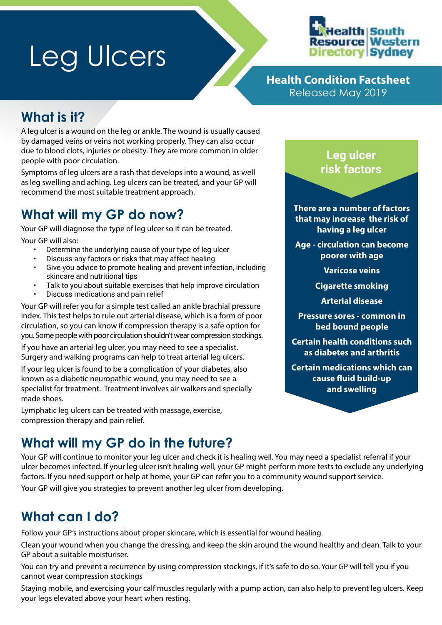# Leg Ulcers



**Health Condition Factsheet** Released May 2019

## **What is it?**

A leg ulcer is a wound on the leg or ankle. The wound is usually caused by damaged veins or veins not working properly. They can also occur due to blood clots, injuries or obesity. They are more common in older people with poor circulation.

Symptoms of leg ulcers are a rash that develops into a wound, as well as leg swelling and aching. Leg ulcers can be treated, and your GP will recommend the most suitable treatment approach.

## **What will my GP do now?**

Your GP will diagnose the type of leg ulcer so it can be treated. Your GP will also:

- Determine the underlying cause of your type of leg ulcer
- Discuss any factors or risks that may affect healing
- Give you advice to promote healing and prevent infection, including skincare and nutritional tips
- Talk to you about suitable exercises that help improve circulation
- Discuss medications and pain relief

Your GP will refer you for a simple test called an ankle brachial pressure index. This test helps to rule out arterial disease, which is a form of poor circulation, so you can know if compression therapy is a safe option for you. Some people with poor circulation shouldn't wear compression stockings.

If you have an arterial leg ulcer, you may need to see a specialist. Surgery and walking programs can help to treat arterial leg ulcers.

If your leg ulcer is found to be a complication of your diabetes, also known as a diabetic neuropathic wound, you may need to see a specialist for treatment. Treatment involves air walkers and specially made shoes.

Lymphatic leg ulcers can be treated with massage, exercise, compression therapy and pain relief.

## **What will my GP do in the future?**

Your GP will continue to monitor your leg ulcer and check it is healing well. You may need a specialist referral if your ulcer becomes infected. If your leg ulcer isn't healing well, your GP might perform more tests to exclude any underlying factors. If you need support or help at home, your GP can refer you to a community wound support service.

Your GP will give you strategies to prevent another leg ulcer from developing.

## **What can I do?**

Follow your GP's instructions about proper skincare, which is essential for wound healing.

Clean your wound when you change the dressing, and keep the skin around the wound healthy and clean. Talk to your GP about a suitable moisturiser.

You can try and prevent a recurrence by using compression stockings, if it's safe to do so. Your GP will tell you if you cannot wear compression stockings

Staying mobile, and exercising your calf muscles regularly with a pump action, can also help to prevent leg ulcers. Keep your legs elevated above your heart when resting.



**There are a number of factors that may increase the risk of having a leg ulcer**

**Age - circulation can become poorer with age**

**Varicose veins**

**Cigarette smoking**

**Arterial disease**

**Pressure sores - common in bed bound people**

**Certain health conditions such as diabetes and arthritis**

**Certain medications which can cause fluid build-up and swelling**